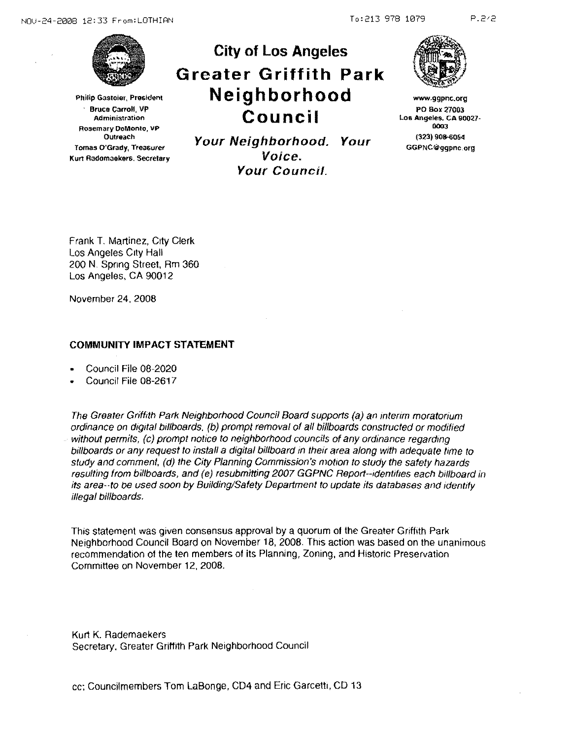NOU-24-2008 12:33 From:LOTHIAN To:213 978 1079



**Philip Gastoier, President** · **Bruce Carroll, VP Admini3tration Rosemary DoMonto, vP Outreach Tomas O'Grady, Treasuret Kurt Radomaeker&, Secretary** 

**Council Your Neighborhood. Your Voice. Your Council.** 

**City of Los Angeles** 

**Greater Griffith Park** 

**Neighborhood** 



www.ggpnc.org PO Box 27003 **Los Angeles. CA 90027-**0003 (323) 908-6064 GGPNC@ggpnc.org

Frank T. Martinez, C1ty Clerk Los Angeles City Hall 200 N. Spnng Street, Rm 360 Los Angeles, CA 90012

November 24, 2008

## **COMMUNITY IMPACT STATEMENT**

- Council File 08-2020
- Council File 08-2617

The Greater Griffith Park Neighborhood Council Board supports (a) an mterim moratorium ordinance on digital billboards. (b) prompt removal of all billboards constructed or modified without permits, (c) prompt notice to neighborhood councils of any ordinance regarding billboards or any request to install a digital billboard in their area along with adequate time to study and comment, (d) the City Planning Commission's motion to study the safety hazards resulting from billboards, and (e) resubmitting 2007 GGPNC Report--identifies each billboard in its area--to be used soon by Building/Safety Department to update its databases and identify illegal billboards.

This statement was given consensus approval by a quorum of the Greater Griffith Park Neighborhood Council Board on November 18, 2008. This action was based on the unanimous recommendation of the ten members of its Planning, Zoning, and Historic Preservation Committee on November 12, 2008.

Kurt K. Rademaekers Secretary. Greater Griffith Park Neighborhood Council

cc; Councilmembers Tom LaBonge, CD4 and Eric Garcetti, CD 13